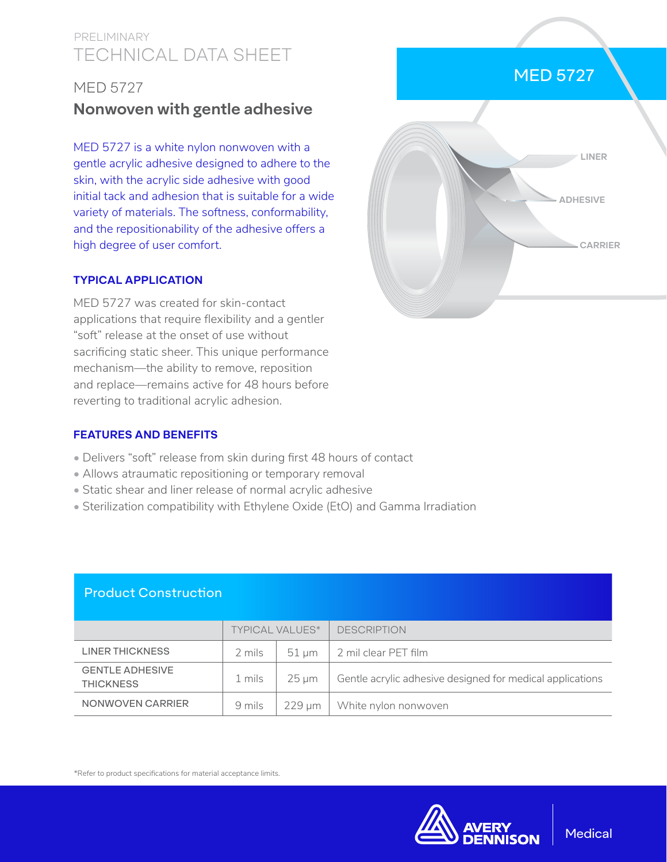# TECHNICAL DATA SHEET PRELIMINARY

## MED 5727

# **Nonwoven with gentle adhesive**

MED 5727 is a white nylon nonwoven with a gentle acrylic adhesive designed to adhere to the skin, with the acrylic side adhesive with good initial tack and adhesion that is suitable for a wide variety of materials. The softness, conformability, and the repositionability of the adhesive offers a high degree of user comfort.

#### **TYPICAL APPLICATION**

MED 5727 was created for skin-contact applications that require flexibility and a gentler "soft" release at the onset of use without sacrificing static sheer. This unique performance mechanism—the ability to remove, reposition and replace—remains active for 48 hours before reverting to traditional acrylic adhesion.

### **FEATURES AND BENEFITS**

- Delivers "soft" release from skin during first 48 hours of contact
- Allows atraumatic repositioning or temporary removal
- Static shear and liner release of normal acrylic adhesive
- Sterilization compatibility with Ethylene Oxide (EtO) and Gamma Irradiation

## Product Construction

|                                            | <b>TYPICAL VALUES*</b> |                 | <b>DESCRIPTION</b>                                        |
|--------------------------------------------|------------------------|-----------------|-----------------------------------------------------------|
| LINER THICKNESS                            | 2 mils                 | $51 \text{ um}$ | 2 mil clear PET film                                      |
| <b>GENTLE ADHESIVE</b><br><b>THICKNESS</b> | 1 mils                 | 25 um           | Gentle acrylic adhesive designed for medical applications |
| NONWOVEN CARRIER                           | 9 mils                 |                 | $229 \,\mathrm{\upmu m}$ White nylon nonwoven             |

\*Refer to product specifications for material acceptance limits.



# MED 5727